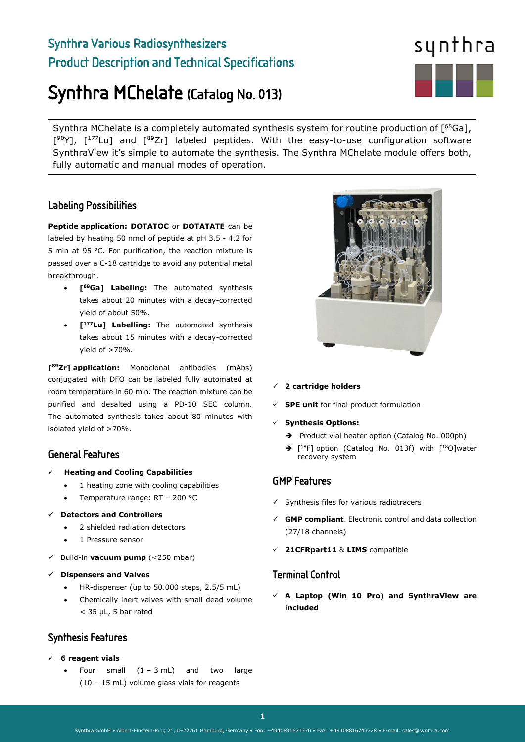# Synthra Various Radiosynthesizers Product Description and Technical Specifications

# Synthra MChelate (Catalog No. 013)

Synthra MChelate is a completely automated synthesis system for routine production of [<sup>68</sup>Ga],  $[90Y]$ ,  $[177$ Lu] and  $[89Zr]$  labeled peptides. With the easy-to-use configuration software SynthraView it's simple to automate the synthesis. The Synthra MChelate module offers both, fully automatic and manual modes of operation.

### Labeling Possibilities

**Peptide application: DOTATOC** or **DOTATATE** can be labeled by heating 50 nmol of peptide at pH 3.5 - 4.2 for 5 min at 95 °C. For purification, the reaction mixture is passed over a C-18 cartridge to avoid any potential metal breakthrough.

- **[68Ga] Labeling:** The automated synthesis takes about 20 minutes with a decay-corrected yield of about 50%.
- **[177Lu] Labelling:** The automated synthesis takes about 15 minutes with a decay-corrected yield of >70%.

**[89Zr] application:** Monoclonal antibodies (mAbs) conjugated with DFO can be labeled fully automated at room temperature in 60 min. The reaction mixture can be purified and desalted using a PD-10 SEC column. The automated synthesis takes about 80 minutes with isolated yield of >70%.

## General Features

- **Heating and Cooling Capabilities** 
	- 1 heating zone with cooling capabilities
	- Temperature range: RT 200 °C
- **Detectors and Controllers**
	- 2 shielded radiation detectors
	- 1 Pressure sensor
- Build-in **vacuum pump** (<250 mbar)
- **Dispensers and Valves** 
	- HR-dispenser (up to 50.000 steps, 2.5/5 mL)
	- Chemically inert valves with small dead volume < 35 μL, 5 bar rated

## Synthesis Features

**6 reagent vials** 

 $\overline{a}$ 

Four small  $(1 - 3 mL)$  and two large (10 – 15 mL) volume glass vials for reagents



- **<sup>2</sup> cartridge holders**
- **SPE unit** for final product formulation
- **Synthesis Options:** 
	- Product vial heater option (Catalog No. 000ph)
	- $\rightarrow$  [<sup>18</sup>F] option (Catalog No. 013f) with [<sup>18</sup>O]water recovery system

### GMP Features

- $\checkmark$  Synthesis files for various radiotracers
- **GMP compliant**. Electronic control and data collection (27/18 channels)
- **21CFRpart11** & **LIMS** compatible

### Terminal Control

 **A Laptop (Win 10 Pro) and SynthraView are included**